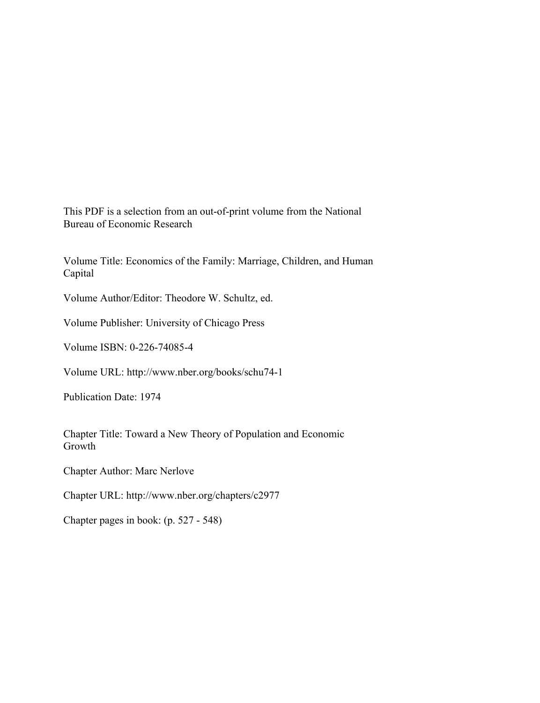This PDF is a selection from an out-of-print volume from the National Bureau of Economic Research

Volume Title: Economics of the Family: Marriage, Children, and Human Capital

Volume Author/Editor: Theodore W. Schultz, ed.

Volume Publisher: University of Chicago Press

Volume ISBN: 0-226-74085-4

Volume URL: http://www.nber.org/books/schu74-1

Publication Date: 1974

Chapter Title: Toward a New Theory of Population and Economic Growth

Chapter Author: Marc Nerlove

Chapter URL: http://www.nber.org/chapters/c2977

Chapter pages in book: (p. 527 - 548)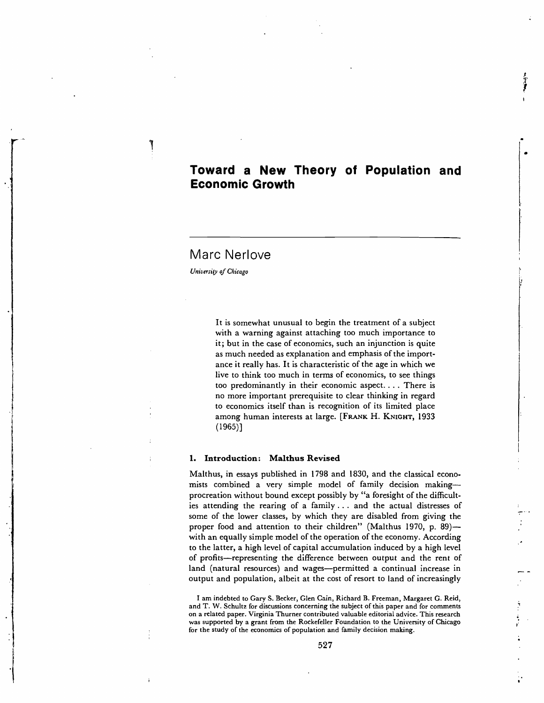# Toward a New Theory of Population and Economic Growth

# Marc Nerlove

University of Chicago

It is somewhat unusual to begin the treatment of a subject with a warning against attaching too much importance to it; but in the case of economics, such an injunction is quite as much needed as explanation and emphasis of the importance it really has. It is characteristic of the age in which we live to think too much in terms of economics, to see things too predominantly in their economic aspect.. . . There is no more important prerequisite to clear thinking in regard to economics itself than is recognition of its limited place among human interests at large. {FRANK H. KNIGHT, 1933 (1965)]

### 1. Introduction: Maithus Revised

Malthus, in essays published in 1798 and 1830, and the classical economists combined a very simple model of family decision making procreation without bound except possibly by "a foresight of the difficulties attending the rearing of a family. . . and the actual distresses of some of the lower classes, by which they are disabled from giving the proper food and attention to their children" (Malthus 1970, p. 89) with an equally simple model of the operation of the economy. According to the latter, a high level of capital accumulation induced by a high level of profits—representing the difference between output and the rent of land (natural resources) and wages—permitted a continual increase in output and population, albeit at the cost of resort to land of increasingly

I am indebted to Gary S. Becker, Glen Cain, Richard B. Freeman, Margaret C. Reid, and T. W. Schultz for discussions concerning the subject of this paper and for comments on a related paper. Virginia Thurner contributed valuable editorial advice. This research was supported by a grant from the Rockefeller Foundation to the University of Chicago for the study of the economics of population and family decision making.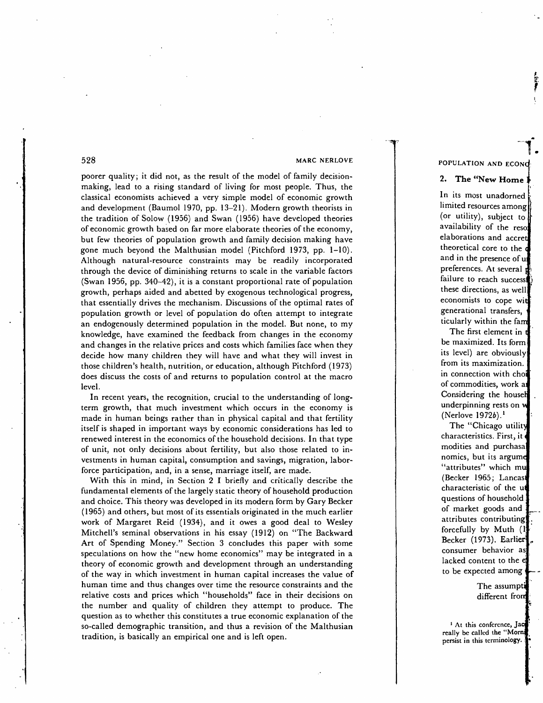poorer quality; it did not, as the result of the model of family decisionmaking, lead to a rising standard of living for most people. Thus, the classical economists achieved a very simple model of economic growth and development (Baumol 1970, pp. 13—21). Modern growth theorists in the tradition of Solow (1956) and Swan (1956) have developed theories of economic growth based on far more elaborate theories of the economy, but few theories of population growth and family decision making have gone much beyond the Malthusian model (Pitchford 1973, pp. 1—10). Although natural-resource constraints may be readily incorporated through the device of diminishing returns to scale in the variable factors (Swan 1956, pp. 340—42), it is a constant proportional rate of population growth, perhaps aided and abetted by exogenous technological progress, that essentially drives the mechanism. Discussions of the optimal rates of population growth or level of population do often attempt to integrate an endogenously determined population in the model. But none, to my knowledge, have examined the feedback from changes in the economy and changes in the relative prices and costs which families face when they decide how many children they will have and what they will invest in those children's health, nutrition, or education, although Pitchford (1973) does discuss the costs of and returns to population control at the macro level.

In recent years, the recognition, crucial to the understanding of longterm growth, that much investment which occurs in the economy is made in human beings rather than in physical capital and that fertility itself is shaped in important ways by economic considerations has led to renewed interest in the economics of the household decisions. In that type of unit, not only decisions about fertility, but also those related to investments in human capital, consumption and savings, migration, laborforce participation, and, in a sense, marriage itself, are made.

With this in mind, in Section 2 I briefly and critically describe the fundamental elements of the largely static theory of household production and choice. This theory was developed in its modern form by Gary Becker (1965) and others, but most of its essentials originated in the much earlier work of Margaret Reid (1934), and it owes a good deal to Wesley Mitchell's seminal observations in his essay (1912) on "The Backward Art of Spending Money." Section 3 concludes this paper with some speculations on how the "new home economics" may be integrated in a theory of economic growth and development through an understanding of the way in which investment in human capital increases the value of human time and thus changes over time the resource constraints and the relative costs and prices which "households" face in their decisions on the number and quality of children they attempt to produce. The question as to whether this constitutes a true economic explanation of the so-called demographic transition, and thus a revision of the Malthusian tradition, is basically an empirical one and is left open.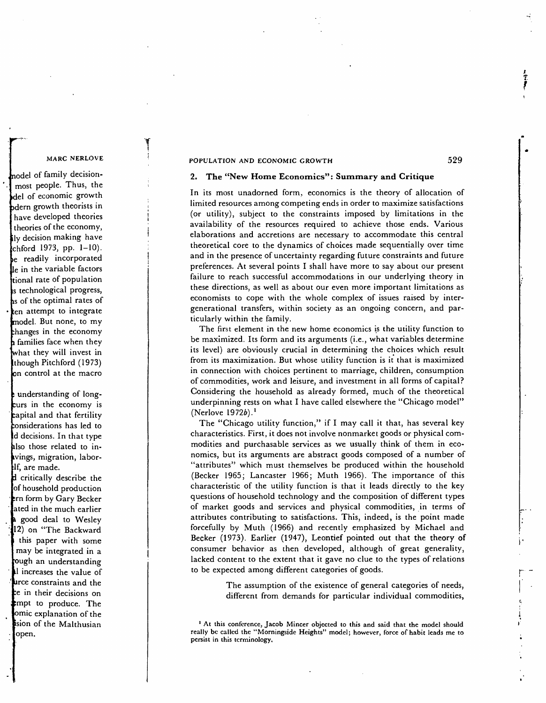## 2. The "New Home Economics": Summary and Critique

In its most unadorned form, economics is the theory of allocation of limited resources among competing ends in order to maximize satisfactions (or utility), subject to the constraints imposed by limitations in the availability of the resources required to achieve those ends. Various elaborations and accretions are necessary to accommodate this central theoretical core to the dynamics of choices made sequentially over time and in the presence of uncertainty regarding future constraints and future preferences. At several points I shall have more to say about our present failure to reach successful accommodations in our underlying theory in these directions, as well as about our even more important limitations as economists to cope with the whole complex of issues raised by intergenerational transfers, within society as an ongoing concern, and particularly within the family.

The first element in the new home economics is the utility function to be maximized. Its form and its arguments (i.e., what variables determine its level) are obviously crucial in determining the choices which result from its maximization. But whose utility function is it that is maximized in connection with choices pertinent to marriage, children, consumption of commodities, work and leisure, and investment in all forms of capital? Considering the household as already formed, much of the theoretical underpinning rests on what I have called elsewhere the "Chicago model" (Nerlove 1972b).'

POP<br>
2.<br>
In limi<br>
(or<br>
ava<br>
elah the<br>
and<br>
pre fails<br>
the and<br>
pre fails<br>
the eco<br>
gen<br>
ticu<br>
The is<br>
from in c<br>
of c<br>
Con<br>
unc<br>
(Ne<br>
The is<br>
from in c<br>
of c<br>
c<br>
mo<br>
nor<br>
tha que<br>
of a the<br>
ech<br>
of c<br>
c<br>
of a the<br>
from in The "Chicago utility function," if I may call it that, has several key characteristics. First, it does not involve nonmarket goods or physical commodities and purchasable services as we usually think of them in economics, but its arguments are abstract goods composed of a number of "attributes" which must themselves be produced within the household (Becker 1965; Lancaster 1966; Muth 1966). The importance of this characteristic of the utility function is that it leads directly to the key questions of household technology and the composition of different types of market goods and services and physical commodities, in terms of attributes contributing to satisfactions. This, indeed, is the point made forcefully by Muth (1966) and recently emphasized by Michael and Becker (1973). Earlier (1947), Leontief pointed out that the theory of consumer behavior as then developed, although of great generality, lacked content to the extent that it gave no clue to the types of relations to be expected among different categories of goods.

The assumption of the existence of general categories of needs, different from demands for particular individual commodities,

÷,

<sup>&</sup>lt;sup>1</sup> At this conference, Jacob Mincer objected to this and said that the model should really be called the "Morningside Heights" model; however, force of habit leads me to persist in this terminology.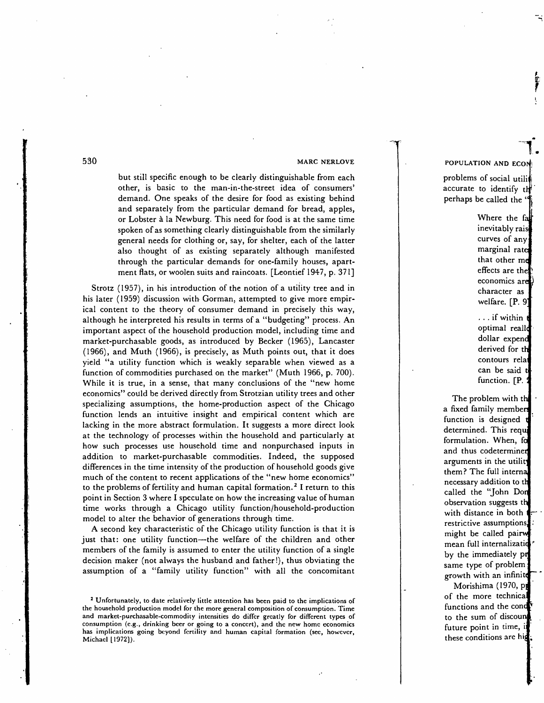$\ddot{\phantom{a}}$ 

but still specific enough to be clearly distinguishable from each other, is basic to the man-in-the-street idea of consumers' demand. One speaks of the desire for food as existing behind and separately from the particular demand for bread, apples, or Lobster à la Newburg. This need for food is at the same time spoken of as something clearly distinguishable from the similarly general needs for clothing or, say, for shelter, each of the latter also thought of as existing separately although manifested through the particular demands for one-family houses, apartment flats, or woolen suits and raincoats. [Leontief 1947, p. 371]

Strotz (1957), in his introduction of the notion of a utility tree and in his later (1959) discussion with Gorman, attempted to give more empirical content to the theory of consumer demand in precisely this way, although he interpreted his results in terms of a "budgeting" process. An important aspect of the household production model, including time and market-purchasable goods, as introduced by Becker (1965), Lancaster (1966), and Muth (1966), is precisely, as Muth points out, that it does yield "a utility function which is weakly separable when viewed as a function of commodities purchased on the market" (Muth 1966, p. 700). While it is true, in a sense, that many conclusions of the "new home economics" could be derived directly from Strotzian utility trees and other specializing assumptions, the home-production aspect of the Chicago function lends an intuitive insight and empirical content which are lacking in the more abstract formulation. It suggests a more direct look at the technology of processes within the household and particularly at how such processes use household time and nonpurchased inputs in addition to market-purchasable commodities. Indeed, the supposed differences in the time intensity of the production of household goods give much of the content to recent applications of the "new home economics" to the problems of fertility and human capital formation.<sup>2</sup> I return to this point in Section 3 where I speculate on how the increasing value of human time works through a Chicago utility function/household-production model to alter the behavior of generations through time.

A second key characteristic of the Chicago utility function is that it is just that: one utility function—the welfare of the children and other members of the family is assumed to enter the utility function of a single decision maker (not always the husband and father!), thus obviating the assumption of a "family utility function" with all the concomitant

<sup>2</sup> Unfortunately, to date relatively little attention has been paid to the implications of the household production model for the more general composition of consumption. Time and market-purchasable-commodity intensities do differ greatly for different types of consumption (e.g., drinking beer or going to a concert), and the new home economics has implications going beyond fertility and human capital formation (see, however, Michael [1972]).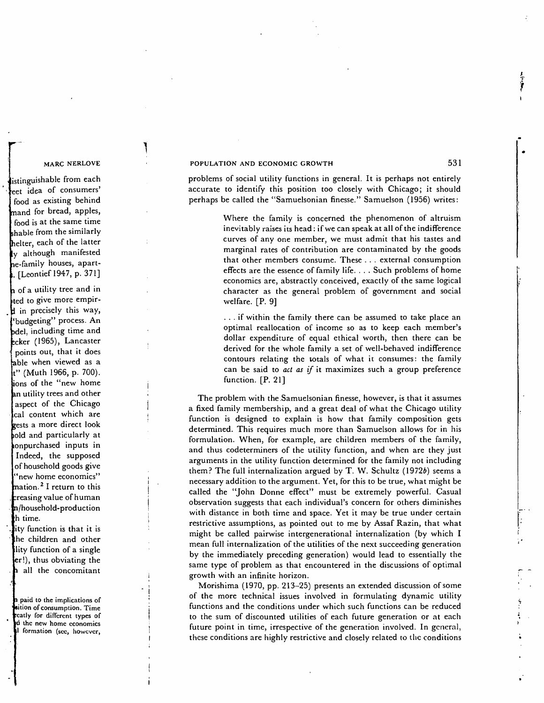### POPULATION AND ECONOMIC GROWTH 531

problems of social utility functions in general. It is perhaps not entirely accurate to identify this position too closely with Chicago; it should perhaps be called the "Samuelsonian finesse." Samuelson (1956) Writes:

> Where the family is concerned the phenomenon of altruism inevitably raises its head: if we can speak at all of the indifference curves of any one member, we must admit that his tastes and marginal rates of contribution are contaminated by the goods that other members consume. These. . . external consumption effects are the essence of family life. . . . Such problems of home economics are, abstractly conceived, exactly of the same logical character as the general problem of government and social welfare. [P. 9]

> ... if within the family there can be assumed to take place an optimal reallocation of income so as to keep each member's dollar expenditure of equal ethical worth, then there can be derived for the whole family a set of well-behaved indifference contours relating the totals of what it consumes: the family can be said to *act as if* it maximizes such a group preference function. [P. 21]

The problem with the Samuelsonian finesse, however, is that it assumes a fixed family membership, and a great deal of what the Chicago utility function is designed to explain is how that family composition gets determined. This requires much more than Samuelson allows for in his formulation. When, for example, are children members of the family, and thus codeterminers of the utility function, and when are they just arguments in the utility function determined for the family not including them? The full internalization argued by T. W. Schultz (1972b) seems a necessary addition to the argument. Yet, for this to be true, what might be called the "John Donne effect" must be extremely powerful. Casual observation suggests that each individual's concern for others diminishes with distance in both time and space. Yet it may be true under certain restrictive assumptions, as pointed out to me by Assaf Razin, that what might be called pairwise intergenerational internalization (by which I mean full internalization of the utilities of the next succeeding generation by the immediately preceding generation) would lead to essentially the same type of problem as that encountered in the discussions of optimal growth with an infinite horizon.

Morishima (1970, pp. 213—25) presents an extended discussion of some of the more technical issues involved in formulating dynamic utility functions and the conditions under which such functions can be reduced to the sum of discounted utilities of each future generation or at each future point in time, irrespective of the generation involved. In general, these conditions are highly restrictive and closely related to the conditions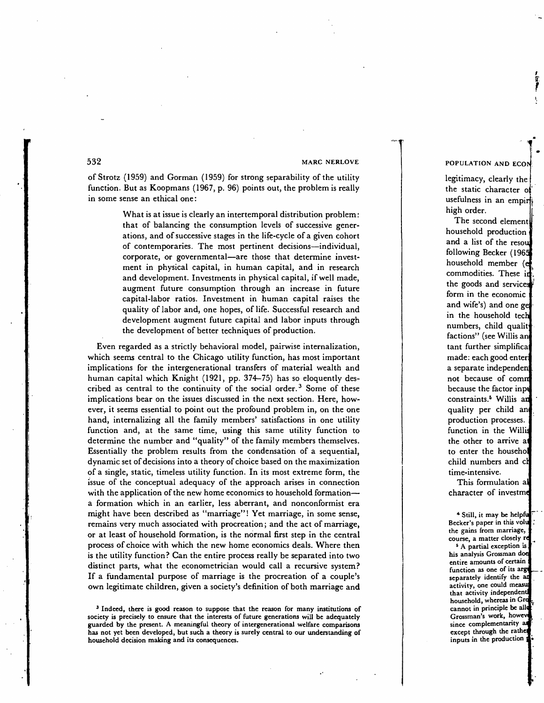of Strotz (1959) and Gorman (1959) for strong separability of the utility function. But as Koopmans (1967, p. 96) points out, the problem is really in some sense an ethical one:

> What is at issue is clearly an intertemporal distribution problem: that of balancing the consumption levels of successive generations, and of successive stages in the life-cycle of a given cohort of contemporaries. The most pertinent decisions—individual, corporate, or governmental—are those that determine investment in physical capital, in human capital, and in research and development. Investments in physical capital, if well made, augment future consumption through an increase in future capital-labor ratios. Investment in human capital raises the quality of labor and, one hopes, of life. Successful research and development augment future capital and labor inputs through the development of better techniques of production.

Even regarded as a strictly behavioral model, pairwise internalization, which seems central to the Chicago utility function, has most important implications for the intergenerational transfers of material wealth and human capital which Knight (1921, pp. 374—75) has so eloquently described as central to the continuity of the social order.<sup>3</sup> Some of these implications bear on the issues discussed in the next section. Here, however, it seems essential to point out the profound problem in, on the one hand, internalizing all the family members' satisfactions in one utility function and, at the same time, using this same utility function to determine the number and "quality" of the family members themselves. Essentially the problem results from the condensation of a sequential, dynamic set of decisions into a theory of choice based on the maximization of a single, static, timeless utility function. In its most extreme form, the issue of the conceptual adequacy of the approach arises in connection with the application of the new home economics to household formation a formation which in an earlier, less aberrant, and nonconformist era might have been described as "marriage"! Yet marriage, in some sense, remains very much associated with procreation; and the act of marriage, or at least of household formation, is the normal first step in the central process of choice with which the new home economics deals. Where then is the utility function? Can the entire process really be separated into two distinct parts, what the econometrician would call a recursive system? If a fundamental purpose of marriage is the procreation of a couple's own legitimate children, given a society's definition of both marriage and

 $\ddot{\phantom{0}}$ 

<sup>&</sup>lt;sup>3</sup> Indeed, there is good reason to suppose that the reason for many institutions of society is precisely to ensure that the interests of future generations will be adequately guarded by the present. A meaningful theory of intergenerational welfare comparisons has not yet been developed, but such a theory is surely central to our understanding of household decision making and its consequences.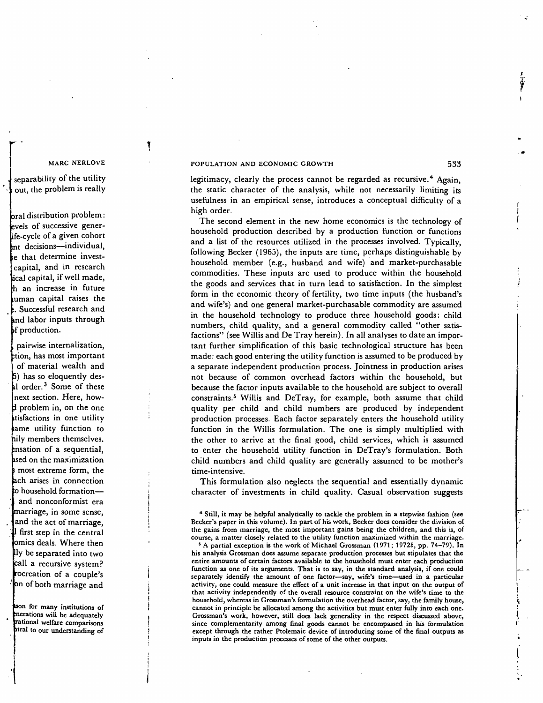legitimacy, clearly the process cannot be regarded as recursive.<sup>4</sup> Again, the static character of the analysis, while not necessarily limiting its usefulness in an empirical sense, introduces a conceptual difficulty of a high order.

The second element in the new home economics is the technology of household production described by a production function or functions and a list of the resources utilized in the processes involved. Typically, following Becker (1965), the inputs are time, perhaps distinguishable by household member (e.g., husband and wife) and market-purchasable commodities. These inputs are used to produce within the household the goods and services that in turn lead to satisfaction. In the simplest form in the economic theory of fertility, two time inputs (the husband's and wife's) and one general market-purchasable commodity are assumed in the household technology to produce three household goods: child numbers, child quality, and a general commodity called "other satisfactions" (see Willis and De Tray herein). In all analyses to date an important further simplification of this basic technological structure has been made: each good entering the utility function is assumed to be produced by a separate independent production process. Jointness in production arises not because of common overhead factors within the household, but because the factor inputs available to the household are subject to overall constraints.6 Willis and DeTray, for example, both assume that child quality per child and child numbers are produced by independent production processes. Each factor separately enters the household utility function in the Willis formulation. The one is simply multiplied with the other to arrive at the final good, child services, which is assumed to enter the household utility function in DeTray's formulation. Both child numbers and child quality are generally assumed to be mother's time-intensive.

This formulation also neglects the sequential and essentially dynamic character of investments in child quality. Casual observation suggests

<sup>4</sup> Still, it may be helpful analytically to tackle the problem in a stepwise fashion (see Becker's paper in this volume). In part of his work, Becker does consider the division of the gains from marriage, the most important gains being the children, and this is, of course, a matter closely related to the utility function maximized within the marriage.

'A partial exception is the work of Michael Grossman (1971; 1972b, pp. 74—79). In his analysis Grossman does assume separate production processes but stipulates that the entire amounts of certain factors available to the household must enter each production function as one of its arguments. That is to say, in the standard analysis, if one could separately identify the amount of one factor-say, wife's time-used in a particular activity, one could measure the effect of a unit increase in that input on the output of that activity independently of the overall resource constraint on the wife's time to the household, whereas in Grossman's formulation the overhead factor, say, the family house, cannot in principle be allocated among the activities but must enter fully into each one. Grossman's work, however, still does lack generality in the respect discussed above, since complementarity among final goods cannot be encompassed in his formulation except through the rather Ptolemaic device of introducing some of the final outputs as inputs in the production processes of some of the other outputs.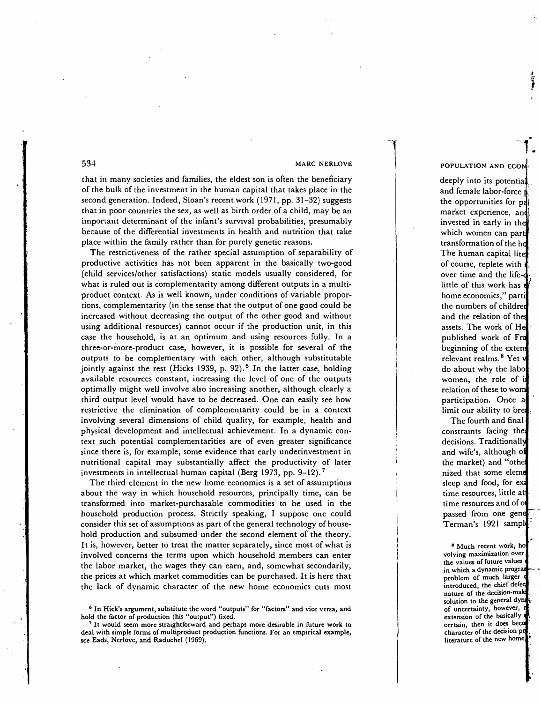that in many societies and families, the eldest son is often the beneficiary of the bulk of the investment in the human capital that takes place in the second generation. Indeed, Sloan's recent work (1971, pp. 31–32) suggests that in poor countries the sex, as well as birth order of a child, may be an important determinant of the infant's survival probabilities, presumably because of the differential investments in health and nutrition that take place within the family rather than for purely genetic reasons.

The restrictiveness of the rather special assumption of separability of productive activities has not been apparent in the basically two-good (child services/other satisfactions) static models usually considered, for what is ruled out is complementarity among different outputs in a multiproduct context. As is well known, under conditions of variable proportions, complementarity (in the sense that the output of one good could be increased without decreasing the output of the other good and without using additional resources) cannot occur if the production unit, in this case the household, is at an optimum and using resources fully. In a three-or-more-product case, however, it is possible for several of the outputs to be complementary with each other, although substitutable jointly against the rest (Hicks 1939, p. 92).<sup>6</sup> In the latter case, holding available resources constant, increasing the level of one of the outputs optimally might well involve also increasing another, although clearly a third output level would have to be decreased. One can easily see how restrictive the elimination of complementarity could be in a context involving several dimensions of child quality, for example, health and physical development and intellectual achievement. In a dynamic context such potential complementarities are of even greater significance since there is, for example, some evidence that early underinvestment in nutritional capital may substantially affect the productivity of later investments in intellectual human capital (Berg 1973, pp. 9-12).<sup>7</sup>

The third element in the new home economics is a set of assumptions about the way in which household resources, principally time, can be transformed into market-purchasable commodities to be used in the household production process. Strictly speaking, I suppose one could consider this set of assumptions as part of the general technology of household production and subsumed under the second element of the theory. It is, however, better to treat the matter separately, since most of what is involved concerns the terms upon which household members can enter the labor market, the wages they can earn, and, somewhat secondarily, the prices at which market commodities can be purchased. It is here that the lack of dynamic character of the new home economics cuts most

<sup>6</sup> In Hick's argument, substitute the word "outputs" for "factors" and vice versa, and hold the factor of production (his "output") fixed.

<sup>&</sup>lt;sup>7</sup> It would seem more straightforward and perhaps more desirable in future work to deal with simple forms of multiproduct production functions. For an empirical example, see Eads, Nerlove, and Raduchel (1969).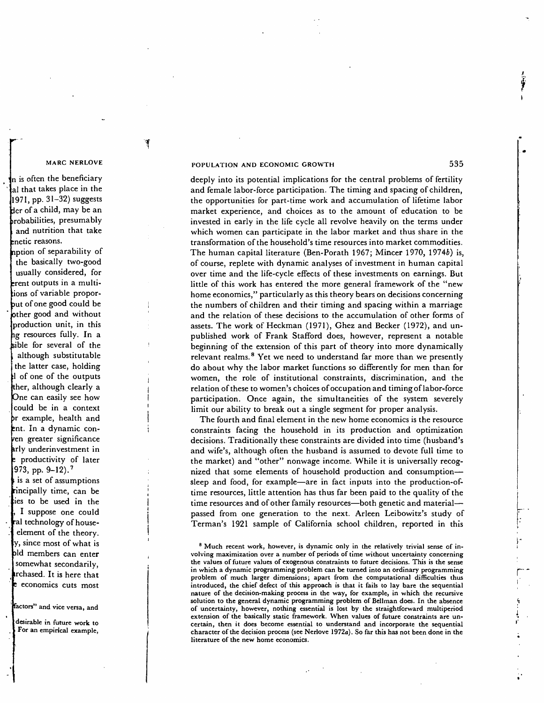#### POPULATION AND ECONOMIC GROWTH 535

deeply into its potential implications for the central problems of fertility and female labor-force participation. The timing and spacing of children, the opportunities for part-time work and accumulation of lifetime labor market experience, and choices as to the amount of education to be invested in early in the life cycle all revolve heavily on the terms under which women can participate in the labor market and thus share in the transformation of the household's time resources into market commodities. The human capital literature (Ben-Porath 1967; Mincer 1970, 1974b) is, of course, replete with dynamic analyses of investment in human capital over time and the life-cycle effects of these investments on earnings. But little of this work has entered the more general framework of the "new home economics," particularly as this theory bears on decisions concerning the numbers of children and their timing and spacing within a marriage and the relation of these decisions to the accumulation of other forms of assets. The work of Heckman (1971), Ghez and Becker (1972), and unpublished work of Frank Stafford does, however, represent a notable beginning of the extension of this part of theory into more dynamically relevant realms.<sup>8</sup> Yet we need to understand far more than we presently do about why the labor market functions so differently for men than for women, the role of institutional constraints, discrimination, and the relation of these to women's choices of occupation and timing of labor-force participation. Once again, the simultaneities of the system severely limit our ability to break out a single segment for proper analysis. relevant realms. The we need to understand for more than we presently<br>do about why the labor market functions so differently for men than for<br>women, the role of institutional constraints, discrimination, and the<br>relation o

The fourth and final element in the new home economics is the resource decisions. Traditionally these constraints are divided into time (husband's and wife's, although often the husband is assumed to devote full time to the market) and "other" nonwage income. While it is universally recognized that some elements of household production and consumption sleep and food, for example—are in fact inputs into the production-oftime resources, little attention has thus far been paid to the quality of the time resources and of other family resources—both genetic and material passed from one generation to the next. Arleen Leibowitz's study of Terman's 1921 sample of California school children, reported in this

<sup>8</sup> Much recent work, however, is dynamic only in the relatively trivial sense of involving maximization over a number of periods of time without uncertainty concerning the values of future values of exogenous constraints to future decisions. This is the sense in which a dynamic programming problem can be turned into an ordinary programming problem of much larger dimensions; apart from the computational difficulties thus introduced, the chief defect of this approach is that it fails to lay bare the sequential nature of the decision-making process in the way, for example, in which the recursive solution to the general dynamic programming problem of Bellman does. In the absence of uncertainty, however, nothing essential is lost by the straightforward multiperiod extension of the basically static framework. When values of future constraints are uncertain, then it does become essential to understand and incorporate the sequential character of the decision process (see Nerlove 1972a). So far this has not been done in the literature of the new home economics.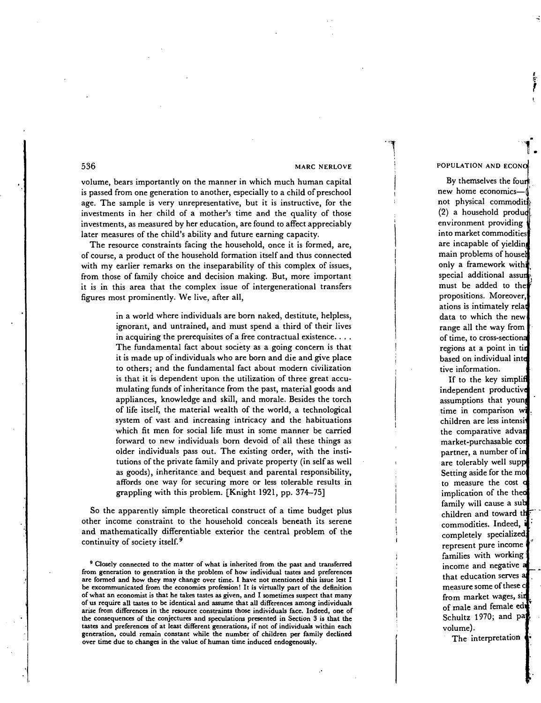$\ddot{\phantom{a}}$ 

volume, bears importantly on the manner in which much human capital is passed from one generation to another, especially to a child of preschool age. The sample is very unrepresentative, but it is instructive, for the investments in her child of a mother's time and the quality of those investments, as measured by her education, are found to affect appreciably later measures of the child's ability and future earning capacity.

The resource constraints facing the household, once it is formed, are, of course, a product of the household formation itself and thus connected with my earlier remarks on the inseparability of this complex of issues, from those of family choice and decision making. But, more important it is in this area that the complex issue of intergenerational transfers figures most prominently. We live, after all,

> in a world where individuals are born naked, destitute, helpless, ignorant, and untrained, and must spend a third of their lives in acquiring the prerequisites of a free contractual existence.... The fundamental fact about society as a going concern is that it is made up of individuals who are born and die and give place to others; and the fundamental fact about modern civilization is that it is dependent upon the utilization of three great accumulating funds of inheritance from the past, material goods and appliances, knowledge and skill, and morale. Besides the torch of life itself, the material wealth of the world, a technological system of vast and increasing intricacy and the habituations which fit men for social life must in some manner be carried forward to new individuals born devoid of all these things as older individuals pass out. The existing order, with the institutions of the private family and private property (in self as well as goods), inheritance and bequest and parental responsibility, affords one way for securing more or less tolerable results in grappling with this problem. [Knight 1921, pp. 374—75]

So the apparently simple theoretical construct of a time budget plus other income constraint to the household conceals beneath its serene and mathematically differentiable exterior the central problem of the continuity of society itself.<sup>9</sup>

<sup>&</sup>lt;sup>9</sup> Closely connected to the matter of what is inherited from the past and transferred from generation to generation is the problem of how individual tastes and preferences are formed and how they may change over time. I have not mentioned this issue lest I be excommunicated from the economics profession! It is virtually part of the definition of what an economist is that he takes tastes as given, and I sometimes suspect that many of us require all tastes to be identical and assume that all differences among individuals arise from differences in the resource constraints those individuals face. Indeed, one of the consequences of the conjectures and speculations presented in Section 3 is that the tastes and preferences of at least different generations, if not of individuals within each generation, could remain constant while the number of children per family declined over time due to changes in the value of human time induced endogenously.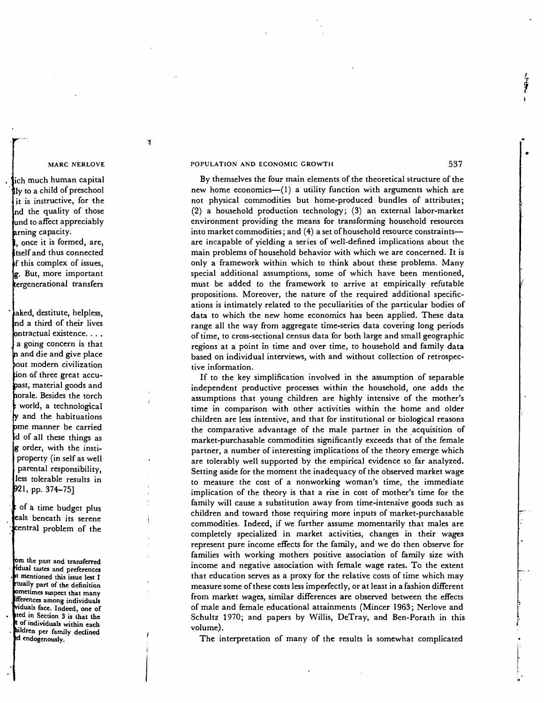By themselves the four main elements of the theoretical structure of the new home economics—(l) a utility function with arguments which are not physical commodities but home-produced bundles of attributes; (2) a household production technology; (3) an external labor-market environment providing the means for transforming household resources into market commodities; and (4) a set of household resource constraints are incapable of yielding a series of well-defined implications about the main problems of household behavior with which we are concerned. It is only a framework within which to think about these problems. Many special additional assumptions, some of which have been mentioned, must be added to the framework to arrive at empirically refutable propositions. Moreover, the nature of the required additional specifications is intimately related to the peculiarities of the particular bodies of data to which the new home economics has been applied. These data range all the way from aggregate time-series data covering long periods of time, to cross-sectional census data for both large and small geographic regions at a point in time and over time, to household and family data based on individual interviews, with and without collection of retrospective information.

If to the key simplification involved in the assumption of separable independent productive processes within the household, one adds the assumptions that young children are highly intensive of the mother's time in comparison with other activities within the home and older children are less intensive, and that for institutional or biological reasons the comparative advantage of the male partner in the acquisition of market-purchasable commodities significantly exceeds that of the female partner, a number of interesting implications of the theory emerge which are tolerably well supported by the empirical evidence so far analyzed. Setting aside for the moment the inadequacy of the observed market wage to measure the cost of a nonworking woman's time, the immediate implication of the theory is that a rise in cost of mother's time for the family will cause a substitution away from time-intensive goods such as children and toward those requiring more inputs of market-purchasable commodities. Indeed, if we further assume momentarily that males are completely specialized in market activities, changes in their wages represent pure income effects for the family, and we do then observe for families with working mothers positive association of family size with income and negative association with female wage rates. To the extent that education serves as a proxy for the relative costs of time which may measure some of these costs less imperfectly, or at least in a fashion different from market wages, similar differences are observed between the effects of male and female educational attainments (Mincer 1963; Nerlove and Schultz 1970; and papers by Willis, DeTray, and Ben-Porath in this volume).

The interpretation of many of the results is somewhat complicated

 $\cdot$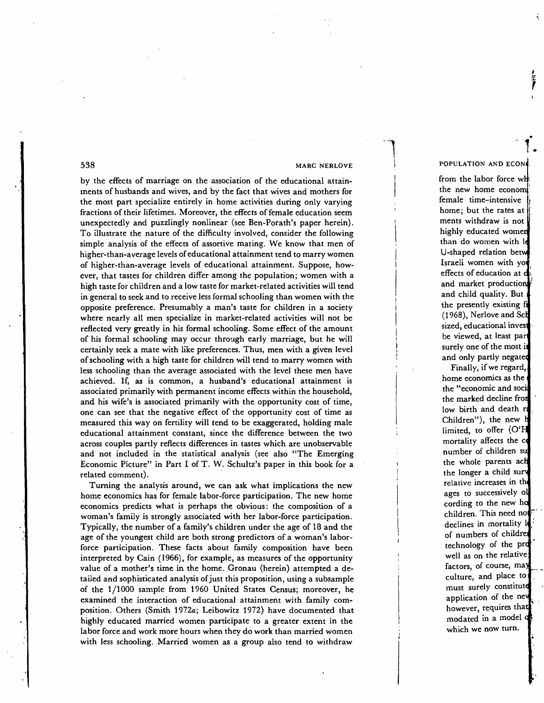.,

by the effects of marriage on the association of the educational attainments of husbands and wives, and by the fact that wives and mothers for the most part specialize entirely in home activities during only varying fractions of their lifetimes. Moreover, the effects of female education seem unexpectedly and puzzlingly nonlinear (see Ben-Porath's paper herein). To illustrate the nature of the difficulty involved, consider the following simple analysis of the effects of assortive mating. We know that men of higher-than-average levels of educational attainment tend to marry women of higher-than-average levels of educational attainment. Suppose, however, that tastes for children differ among the population; women with a high taste for children and a low taste for market-related activities will tend in general to seek and to receive less formal schooling than women with the opposite preference. Presumably a man's taste for children in a society where nearly all men specialize in market-related activities will not be reflected very greatly in his formal schooling. Some effect of the amount of his formal schooling may occur through early marriage, but he will certainly seek a mate with like preferences. Thus, men with a given level of schooling with a high taste for children will tend to marry women with less schooling than the average associated with the level these men have achieved. If, as is common, a husband's educational attainment is associated primarily with permanent income effects within the household, and his wife's is associated primarily with the opportunity cost of time, one can see that the negative effect of the opportunity cost of time as measured this way on fertility will tend to be exaggerated, holding male educational attainment constant, since the difference between the two across couples partly reflects differences in tastes which are unobservable and not included in the statistical analysis (see also "The Emerging Economic Picture" in Part I of T. W. Schultz's paper in this book for a related comment).

Turning the analysis around, we can ask what implications the new home economics has for female labor-force participation. The new home economics predicts what is perhaps the obvious: the composition of a woman's family is strongly associated with her labor-force participation. Typically, the number of a family's children under the age of 18 and the age of the youngest child are both strong predictors of a woman's laborforce participation. These facts about family composition have been interpreted by Cain (1966), for example, as measures of the opportunity value of a mother's time in the home. Gronau (herein) attempted a detailed and sophisticated analysis of just this proposition, using a subsample of the 1/1000 sample from 1960 United States Census; moreover, he examined the interaction of educational attainment with family composition. Others (Smith 1972a; Leibowitz 1972) have documented that highly educated married women participate to a greater extent in the labor force and work more hours when they do work than married women with less schooling. Married women as a group also tend to withdraw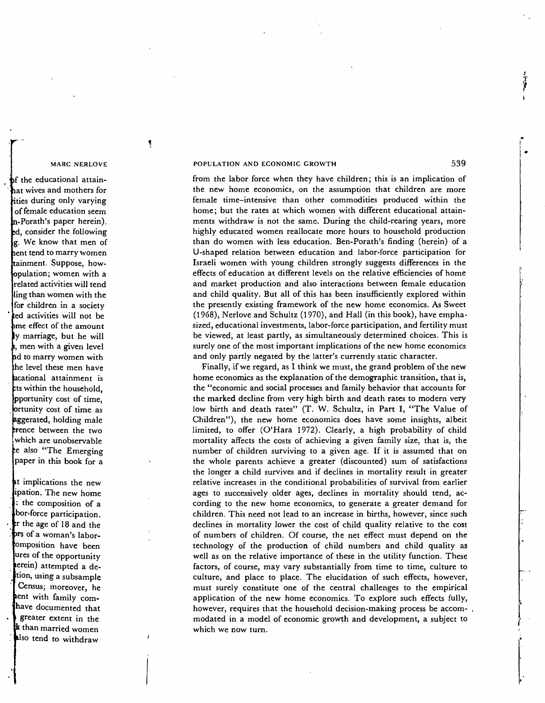from the labor force when they have children; this is an implication of the new home economics, on the assumption that children are more female time—intensive than other commodities produced within the home; but the rates at which women with different educational attainments withdraw is not the same. During the child-rearing years, more highly educated women reallocate more hours to household production than do women with less education. Ben-Porath's finding (herein) of a U-shaped relation between education and labor-force participation for Israeli women with young children strongly suggests differences in the effects of education at different levels on the relative efficiencies of home and market production and also interactions between female education and child quality. But all of this has been insufficiently explored within the presently existing framework of the new home economics. As Sweet (1968), Nerlove and Schultz (1970), and Hall (in this book), have emphasized, educational investments, labor-force participation, and fertility must be viewed, at least partly, as simultaneously determined choices. This is surely one of the most important implications of the new home economics and only partly negated by the latter's currently static character.

Finally, if we regard, as I think we must, the grand problem of the new home economics as the explanation of the demographic transition, that is, the "economic and social processes and family behavior that accounts for the marked decline from very high birth and death rates to modern very low birth and death rates" (T. W. Schultz, in Part I, "The Value of Children"), the new home economics does have some insights, albeit limited, to offer (O'Hara 1972). Clearly, a high probability of child mortality affects the costs of achieving a given family size, that is, the number of children surviving to a given age. If it is assumed that on the whole parents achieve a greater (discounted) sum of satisfactions the longer a child survives and if declines in mortality result in greater relative increases in the conditional probabilities of survival from earlier ages to successively older ages, declines in mortality should tend, according to the new home economics, to generate a greater demand for children. This need not lead to an increase in births, however, since such declines in mortality lower the cost of child quality relative to the cost of numbers of children. Of course, the net effect must depend on the technology of the production of child numbers and child quality as well as on the relative importance of these in the utility function. These factors, of course, may vary substantially from time to time, culture to culture, and place to place. The elucidation of such effects, however, must surely constitute one of the central challenges to the empirical application of the new home economics. To explore such effects fully, however, requires that the household decision-making process be accommodated in a model of economic growth and development, a subject to which we now turn.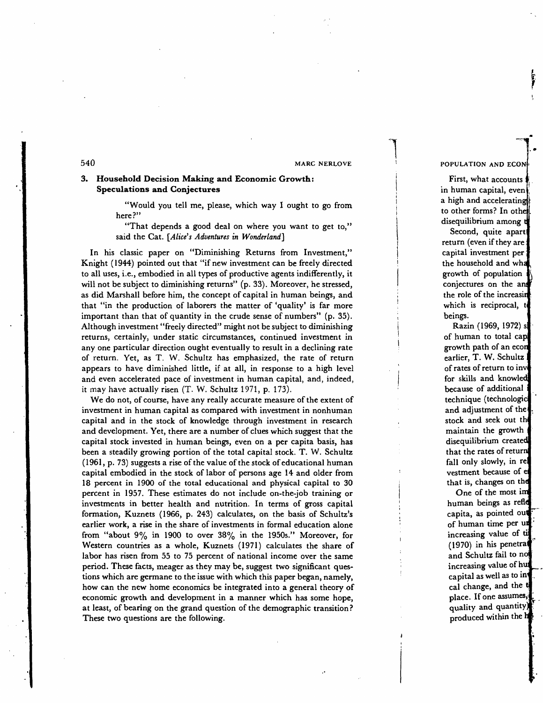### 3. Household Decision Making and Economic Growth: Speculations and Conjectures

"Would you tell me, please, which way I ought to go from here?"

"That depends a good deal on where you want to get to," said the Cat. [Alice's Adventures in Wonderland]

In his classic paper on "Diminishing Returns from Investment," Knight (1944) pointed out that "if new investment can be freely directed to all uses, i.e., embodied in all types of productive agents indifferently, it will not be subject to diminishing returns" (p. 33). Moreover, he stressed, as did Marshall before him, the concept of capital in human beings, and that "in the production of laborers the matter of 'quality' is far more important than that of quantity in the crude sense of numbers" (p. 35). Although investment "freely directed" might not be subject to diminishing returns, certainly, under static circumstances, continued investment in any one particular direction ought eventually to result in a declining rate of return. Yet, as T. W. Schultz has emphasized, the rate of return appears to have diminished little, if at all, in response to a high level and even accelerated pace of investment in human capital, and, indeed, it may have actually risen (T. W. Schultz 1971, p. 173).

We do not, of course, have any really accurate measure of the extent of investment in human capital as compared with investment in nonhuman capital and in the stock of knowledge through investment in research and development. Yet, there are a number of clues which suggest that the capital stock invested in human beings, even on a per capita basis, has been a steadily growing portion of the total capital stock. T. W. Schultz (1961, p. 73) suggests a rise of the value of the stock of educational human capital embodied in the stock of labor of persons age 14 and older from 18 percent in 1900 of the total educational and physical capital to 30 percent in 1957. These estimates do not include on-the-job training or investments in better health and nutrition. In terms of gross capital formation, Kuznets (1966, p. 243) calculates, on the basis of Schultz's earlier work, a rise in the share of investments in formal education alone from "about  $9\%$  in 1900 to over  $38\%$  in the 1950s." Moreover, for Western countries as a whole, Kuznets (1971) calculates the share of labor has risen from 55 to 75 percent of national income over the same period. These facts, meager as they may be, suggest two significant questions which are germane to the issue with which this paper began, namely, how can the new home economics be integrated into a general theory of economic growth and development in a manner which has some hope, at least, of bearing on the grand question of the demographic transition? These two questions are the following.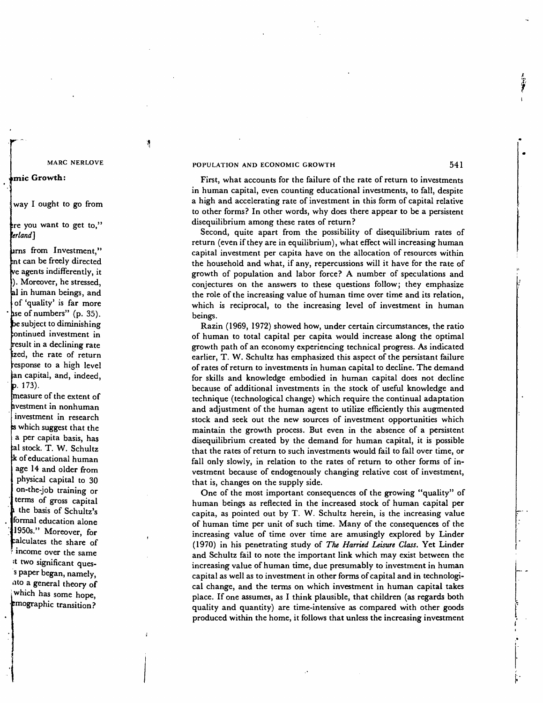First, what accounts for the failure of the rate of return to investments in human capital, even counting educational investments, to fall, despite a high and accelerating rate of investment in this form of capital relative to other forms? In other words, why does there appear to be a persistent disequilibrium among these rates of return?

Second, quite apart from the possibility of disequilibrium rates of return (even if they are in equilibrium), what effect will increasing human capital investment per capita have on the allocation of resources within the household and what, if any, repercussions will it have for the rate of growth of population and labor force? A number of speculations and conjectures on the answers to these questions follow; they emphasize the role of the increasing value of human time over time and its relation, which is reciprocal, to the increasing level of investment in human beings.

Razin (1969, 1972) showed how, under certain circumstances, the ratio of human to total capital per capita would increase along the optimal growth path of an economy experiencing technical progress. As indicated earlier, T. W. Schultz has emphasized this aspect of the persistant failure of rates of return to investments in human capital to decline. The demand for skills and knowledge embodied in human capital does not decline because of additional investments in the stock of useful knowledge and technique (technological change) which require the continual adaptation and adjustment of the human agent to utilize efficiently this augmented stock and seek out the new sources of investment opportunities which maintain the growth process. But even in the absence of a persistent disequilibrium created by the demand for human capital, it is possible that the rates of return to such investments would fail to fall over time, or fall only slowly, in relation to the rates of return to other forms of investment because of endogenously changing relative cost of investment, that is, changes on the supply side. Prote (ATOM AND ECONOMIC CROWTH<br>
First, what accouns for the failure of the rate of return to investments<br>
in human capital, even counsing educational investments, to fall, depite<br>
in holme and acclerating rate of investm

One of the most important consequences of the growing "quality" of human beings as reflected in the increased stock of human capital per capita, as pointed out by T. W. Schultz herein, is the increasing value of human time per unit of such time. Many of the consequences of the increasing value of time over time are amusingly explored by Linder  $(1970)$  in his penetrating study of The Harried Leisure Class. Yet Linder and Schultz fail to note the important link which may exist between the increasing value of human time, due presumably to investment in human capital as well as to investment in other forms of capital and in technological change, and the terms on which investment in human capital takes place. If one assumes, as I think plausible, that children (as regards both quality and quantity) are time-intensive as compared with other goods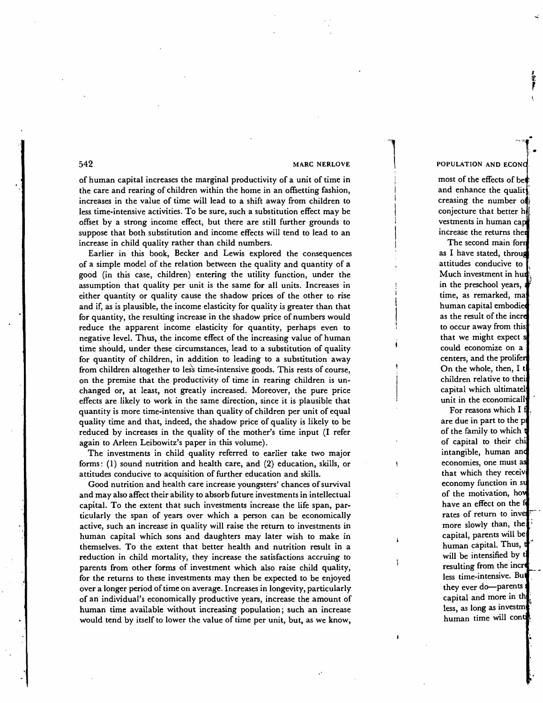of human capital increases the marginal productivity of a unit of time in the care and rearing of children within the home in an offsetting fashion, increases in the value of time will lead to a shift away from children to less time-intensive activities. To be sure, such a substitution effect may be offset by a strong income effect, but there are still further grounds to suppose that both substitution and income effects will tend to lead to an increase in child quality rather than child numbers.

Earlier in this book, Becker and Lewis explored the consequences of a simple model of the relation between the quality and quantity of a good (in this case, children) entering the utility function, under the assumption that quality per unit is the same for all units. Increases in either quantity or quality cause the shadow prices of the other to rise and if, as is plausible, the income elasticity for quality is greater than that for quantity, the resulting increase in the shadow price of numbers would reduce the apparent income elasticity for quantity, perhaps even to negative level. Thus, the income effect of the increasing value of human time should, under these circumstances, lead to a substitution of quality for quantity of children, in addition to leading to a substitution away from children altogether to less time-intensive goods. This rests of course, on the premise that the productivity of time in rearing children is unchanged or, at least, not greatly increased. Moreover, the pure price effects are likely to work in the same direction, since it is plausible that quantity is more time-intensive than quality of children per unit of equal quality time and that, indeed, the shadow price of quality is likely to be reduced by increases in the quality of the mother's time input (I refer again to Arleen Leibowitz's paper in this volume).

The investments in child quality referred to earlier take two major forms: (1) sound nutrition and health care, and (2) education, skills, or attitudes conducive to acquisition of further education and skills.

Good nutrition and health care increase youngsters' chances of survival and may also affect their ability to absorb future investments in intellectual capital. To the extent that such investments increase the life span, particularly the span of years over which a person can be economically active, such an increase in quality will raise the return to investments in human capital which sons and daughters may later wish to make in themselves. To the extent that better health and nutrition result in a reduction in child mortality, they increase the satisfactions accruing to parents from other forms of investment which also raise child quality, for the returns to these investments may then be expected to be enjoyed over a longer period of time on average. Increases in longevity, particularly of an individual's economically productive years, increase the amount of human time available without increasing population; such an increase would tend by itself to lower the value of time per unit, but, as we know,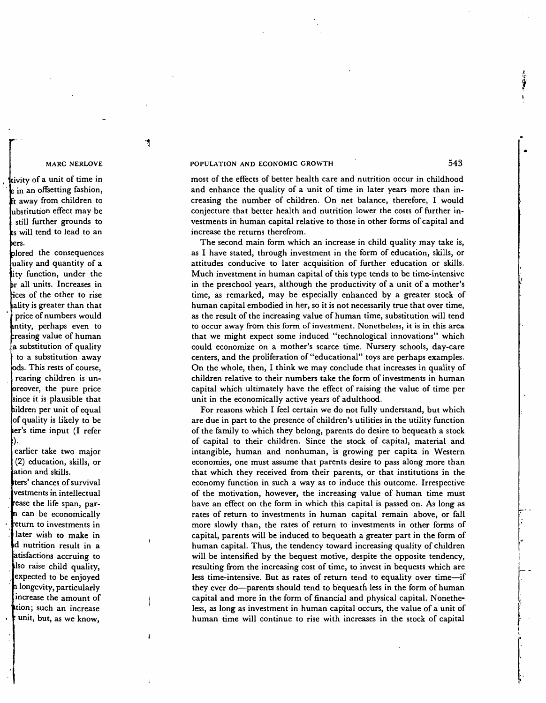#### POPULATION AND ECONOMIC GROWTH 543

most of the effects of better health care and nutrition occur in childhood and enhance the quality of a unit of time in later years more than increasing the number of children. On net balance, therefore, I would conjecture that better health and nutrition lower the costs of further investments in human capital relative to those in other forms of capital and increase the returns therefrom.

The second main form which an increase in child quality may take is, as I have stated, through investment in the form of education, skills, or attitudes conducive to later acquisition of further education or skills. Much investment in human capital of this type tends to be time-intensive in the preschool years, although the productivity of a unit of a mother's time, as remarked, may be especially enhanced by a greater stock of human capital embodied in her, so it is not necessarily true that over time, as the result of the increasing value of human time, substitution will tend to occur away from this form of investment. Nonetheless, it is in this area that we might expect some induced "technological innovations" which could economize on a mother's scarce time. Nursery schools, day-care centers, and the proliferation of "educational" toys are perhaps examples. On the whole, then, I think we may conclude that increases in quality of children relative to their numbers take the form of investments in human capital which ultimately have the effect of raising the value of time per unit in the economically active years of adulthood.

For reasons which I feel certain we do not fully understand, but which are due in part to the presence of children's utilities in the utility function of the family to which they belong, parents do desire to bequeath a stock of capital to their children. Since the stock of capital, material and intangible, human and nonhuman, is growing per capita in Western economies, one must assume that parents desire to pass along more than that which they received from their parents, or that institutions in the economy function in such a way as to induce this outcome. Irrespective of the motivation, however, the increasing value of human time must have an effect on the form in which this capital is passed on. As long as rates of return to investments in human capital remain above, or fall more slowly than, the rates of return to investments in other forms of capital, parents will be induced to bequeath a greater part in the form of human capital. Thus, the tendency toward increasing quality of children will be intensified by the bequest motive, despite the opposite tendency, resulting from the increasing cost of time, to invest in bequests which are less time-intensive. But as rates of return tend to equality over time—if they ever do—parents should tend to bequeath less in the form of human capital and more in the form of financial and physical capital. Nonetheless, as long as investment in human capital occurs, the value of a unit of human time will continue to rise with increases in the stock of capital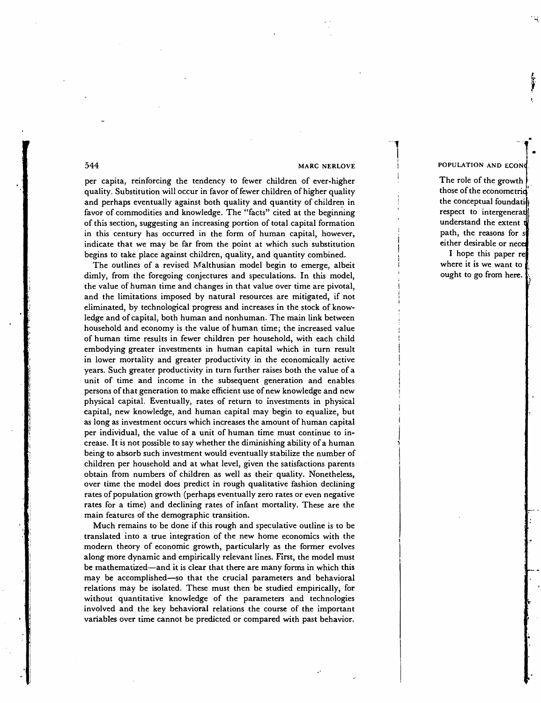per capita, reinforcing the tendency to fewer children of ever-higher quality. Substitution will occur in favor of fewer children of higher quality and perhaps eventually against both quality and quantity of children in favor of commodities and knowledge. The "facts" cited at the beginning of this section, suggesting an increasing portion of total capital formation in this century has occurred in the form of human capital, however, indicate that we may be far from the point at which such substitution begins to take place against children, quality, and quantity combined.

The outlines of a revised Malthusian model begin to emerge, albeit dimly, from the foregoing conjectures and speculations. In this model, the value of human time and changes in that value over time are pivotal, and the limitations imposed by natural resources are mitigated, if not eliminated, by technological progress and increases in the stock of knowledge and of capital, both human and nonhuman. The main link between household and economy is the value of human time; the increased value of human time results in fewer children per household, with each child embodying greater investments in human capital which in turn result in lower mortality and greater productivity in the economically active years. Such greater productivity in turn further raises both the value of a unit of time and income in the subsequent generation and enables persons of that generation to make efficient use of new knowledge and new physical capital. Eventually, rates of return to investments in physical capital, new knowledge, and human capital may begin to equalize, but as long as investment occurs which increases the amount of human capitaL per individual, the value of a unit of human time must continue to increase. It is not possible to say whether the diminishing ability of a human being to absorb such investment would eventually stabilize the number of children per household and at what level, given the satisfactions parents obtain from numbers of children as well as their quality. Nonetheless, over time the model does predict in rough qualitative fashion declining rates of population growth (perhaps eventually zero rates or even negative rates for a time) and declining rates of infant mortality. These are the main features of the demographic transition.

Much remains to be done if this rough and speculative outline is to be translated into a true integration of the new home economics with the modern theory of economic growth, particularly as the former evolves along more dynamic and empirically relevant lines. First, the model must be mathematized—and it is clear that there are many forms in which this may be accomplished—so that the crucial parameters and behavioral relations may be isolated. These must then be studied empirically, for without quantitative knowledge of the parameters and technologies involved and the key behavioral relations the course of the important variables over time cannot be predicted or compared with past behavior.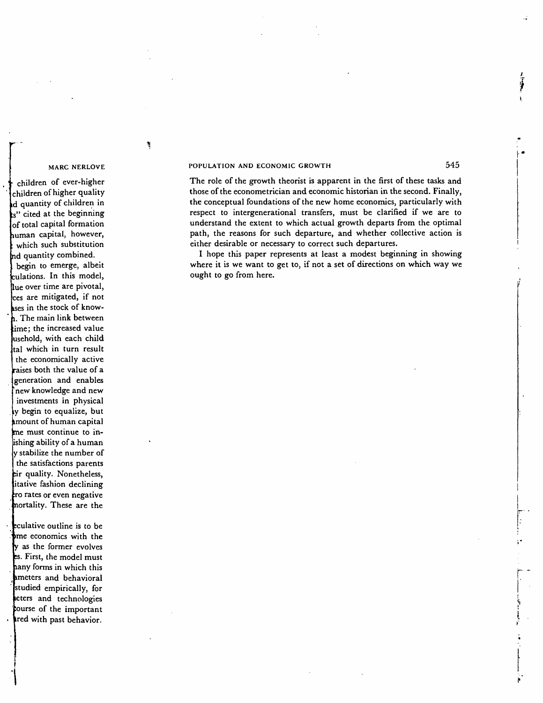The role of the growth theorist is apparent in the first of these tasks and those of the econometrician and economic historian in the second. Finally, the conceptual foundations of the new home economics, particularly with respect to intergenerational transfers, must be clarified if we are to understand the extent to which actual growth departs from the optimal path, the reasons for such departure, and whether collective action is either desirable or necessary to correct such departures.

I hope this paper represents at least a modest beginning in showing where it is we want to get to, if not a set of directions on which way we ought to go from here.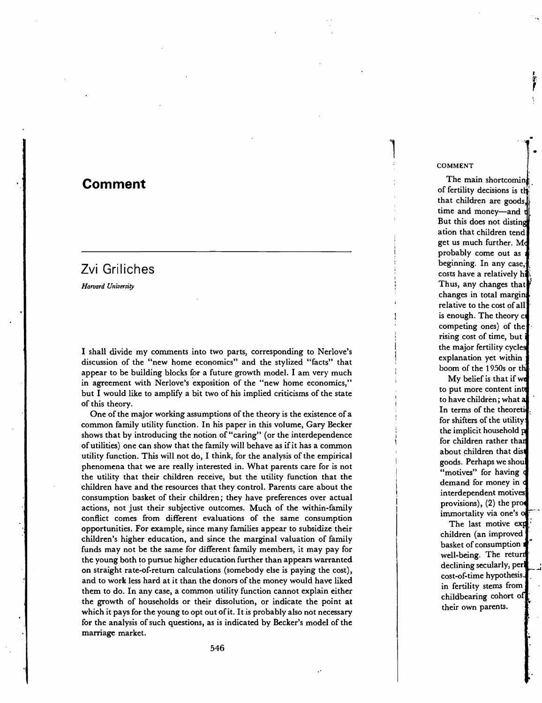# Comment

# Zvi Griliches

Harvard University

I shall divide my comments into two parts, corresponding to Nerlove's discussion of the "new home economics" and the stylized "facts" that appear to be building blocks for a future growth model. I am very much in agreement with Nerlove's exposition of the "new home economics," but I would like to amplify a bit two of his implied criticisms of the state of this theory.

One of the major working assumptions of the theory is the existence of a common family utility function. In his paper in this volume, Gary Becker shows that by introducing the notion of "caring" (or the interdependence of utilities) one can show that the family will behave as if it has a common utility function. This will not do, I think, for the analysis of the empirical phenomena that we are really interested in. What parents care for is not the utility that their children receive, but the utility function that the children have and the resources that they control. Parents care about the consumption basket of their children; they have preferences over actual actions, not just their subjective outcomes. Much of the within-family conflict comes from different evaluations of the same consumption opportunities. For example, since many families appear to subsidize their children's higher education, and since the marginal valuation of family funds may not be the same for different family members, it may pay for the young both to pursue higher education further than appears warranted on straight rate-of-return calculations (somebody else is paying the cost), and to work less hard at it than the donors of the money would have liked them to do. In any case, a common utility function cannot explain either the growth of households or their dissolution, or indicate the point at which it pays for the young to opt out of it. It is probably also not necessary for the analysis of such questions, as is indicated by Becker's model of the marriage market.

 $\cdot$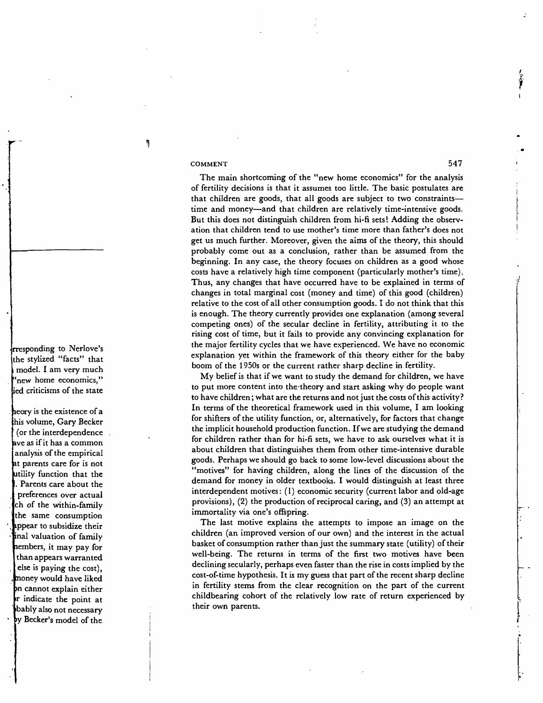The main shortcoming of the "new home economics" for the analysis of fertility decisions is that it assumes too little. The basic postulates are that children are goods, that all goods are subject to two constraints time and money—and that children are relatively time-intensive goods. But this does not distinguish children from hi-fl sets! Adding the observation that children tend to use mother's time more than father's does not get us much further. Moreover, given the aims of the theory, this should probably come out as a conclusion, rather than be assumed from the beginning. In any case, the theory focuses on children as a good whose costs have a relatively high time component (particularly mother's time). Thus, any changes that have occurred have to be explained in terms of changes in total marginal cost (money and time) of this good (children) relative to the cost of all other consumption goods. I do not think that this is enough. The theory currently provides one explanation (among several competing ones) of the secular decline in fertility, attributing it to the rising cost of time, but it fails to provide any convincing explanation for the major fertility cycles that we have experienced. We have no economic explanation yet within the framework of this theory either for the baby boom of the 1950s or the current rather sharp decline in fertility.

My belief is that if we want to study the demand for children, we have to put more content into the-theory and start asking why do people want to have children; what are the returns and not just the costs of this activity? In terms of the theoretical framework used in this volume, I am looking for shifters of the utility function, or, alternatively, for factors that change the implicit household production function. If we are studying the demand for children rather than for hi-fl sets, we have to ask ourselves what it is about children that distinguishes them from other time-intensive durable goods. Perhaps we should go back to some low-level discussions about the "motives" for having children, along the lines of the discussion of the demand for money in older textbooks. I would distinguish at least three interdependent motives: (1) economic security (current labor and old-age provisions), (2) the production of reciprocal caring, and (3) an attempt at immortality via one's offspring.

The last motive explains the attempts to impose an image on the children (an improved version of our own) and the interest in the actual basket of consumption rather than just the summary state (utility) of their well-being. The returns in terms of the first two motives have been declining secularly, perhaps even faster than the rise in costs implied by the cost-of-time hypothesis. It is my guess that part of the recent sharp decline in fertility stems from the clear recognition on the part of the current childbearing cohort of the relatively low rate of return experienced by their own parents.